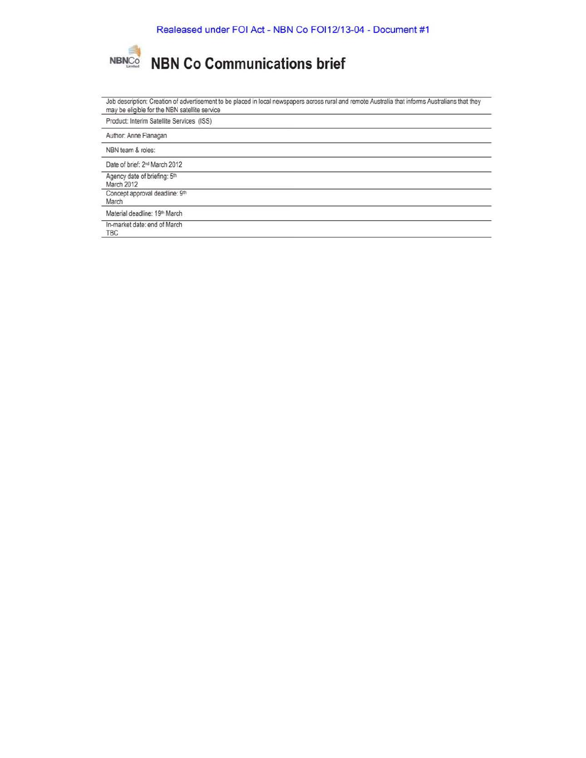

| Job description: Creation of advertisement to be placed in local newspapers across rural and remote Australia that informs Australians that they<br>may be eligible for the NBN satellite service |  |
|---------------------------------------------------------------------------------------------------------------------------------------------------------------------------------------------------|--|
| Product: Interim Satellite Services (ISS)                                                                                                                                                         |  |
| Author: Anne Flanagan                                                                                                                                                                             |  |
| NBN team & roles:                                                                                                                                                                                 |  |
| Date of brief: 2 <sup>nd</sup> March 2012                                                                                                                                                         |  |
| Agency date of briefing: 5th<br>March 2012                                                                                                                                                        |  |
| Concept approval deadline: 9th<br>March                                                                                                                                                           |  |
| Material deadline: 19th March                                                                                                                                                                     |  |
| In-market date: end of March<br>TBC                                                                                                                                                               |  |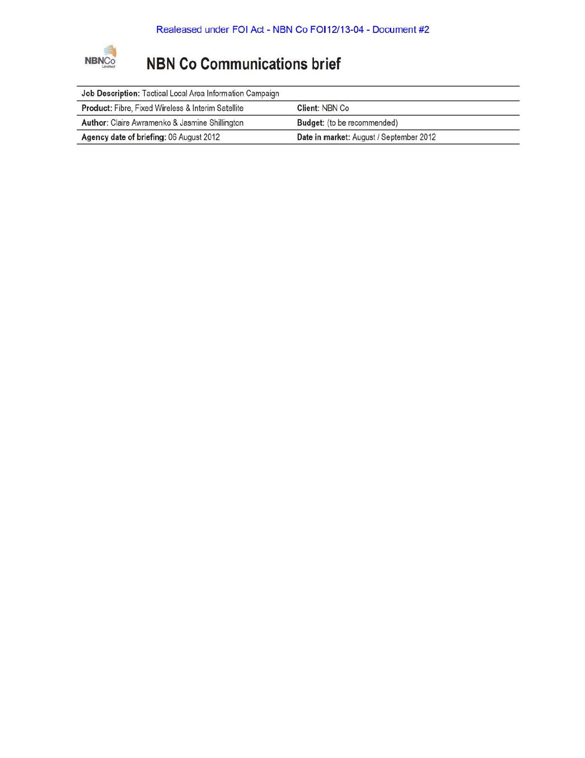

| Job Description: Tactical Local Area Information Campaign |                                         |  |
|-----------------------------------------------------------|-----------------------------------------|--|
| Product: Fibre, Fixed Wireless & Interim Satellite        | Client: NBN Co.                         |  |
| Author: Claire Awramenko & Jasmine Shillington            | Budget: (to be recommended)             |  |
| Agency date of briefing: 06 August 2012                   | Date in market: August / September 2012 |  |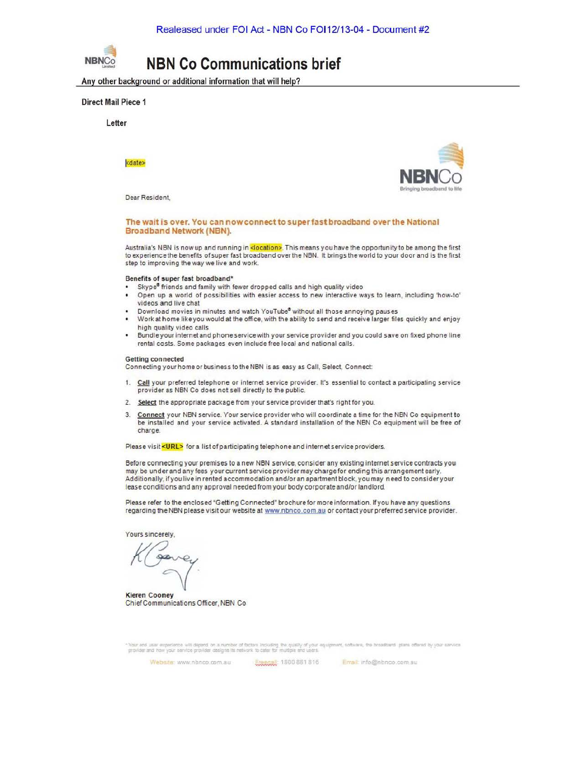

Any other background or additional information that will help?

#### Direct Mail Piece 1

Letter

date»

Dear Resident,



#### The wait is over. You can now connect to superfast broadband over the National **Broadband Network (NBN).**

Australia's NBN is now up and running in <mark><location></mark>. This means you have the opportunity to be among the first to experience the benefits of super fast broadband over the NBN. It brings the world to your door and is the first step to improving the way we live and work.

#### Benefits of super fast broadband•

- Skype<sup>®</sup> friends and family with fewer dropped calls and high quality video
- Open up a world of possibilities with easier access to new interactive ways to learn, including 'how-to' videos and live chat
- Download movies in minutes and watch YouTube® without all those annoying pauses
- Work at home like you would at the office, with the ability to send and receive larger files quickly and enjoy high quality video calls
- Bundleyourinternetand phone service with your service provdder and you could save on fixed phone line rental costs. Some packages even include free local and national calls,

#### Getting connected

Connecting your home or business *to* theNBN is as easy as Call, Select, Connect

- 1. Call your preferred telephone or internet service provider. Irs essential to contact a participating service provider as NBN Co does not sell directly to the public.
- 2. Select the appropriate package from your service provider that's right for you.
- 3. Connect your NBN service. Your service provider who will coordinate a time for the NBN Co equipment lo be installed and your service activated. A standard installation of the NBN Co equipment will be free of charge.

Please visit <URL> for a list of participating telephone and internet service providers.

Before connecting your premises to a new NBN service, consider any existing internet service contracts you may be under and any fees your current service provider may charge for ending this arrangement early. Additionally, if you live in rented accommodation and/or an apartment block, you may need to consider your lease conditions and any approval needed from your body corporate and/or landlord.

Please refer to the enclosed "Getting Connected" brochure for more information. If you have any questions regarding the NBN please visit our website at www.nbnco.com.au or contact your preferred service provider.

Yours sincerely,

K Georg

Kieren Cooney ChiefCommunications Officer, NBN Co

.<br>Your end user experience will depend on a number of factors including the quality of your equipment, software, the broadband glans offered by your service.<br>provider and how your service provider designs its network to ca

Website: www.nbnco.com.au. *bxcoxx* 1800 881 816 **Emsit info@nbnco.com.au**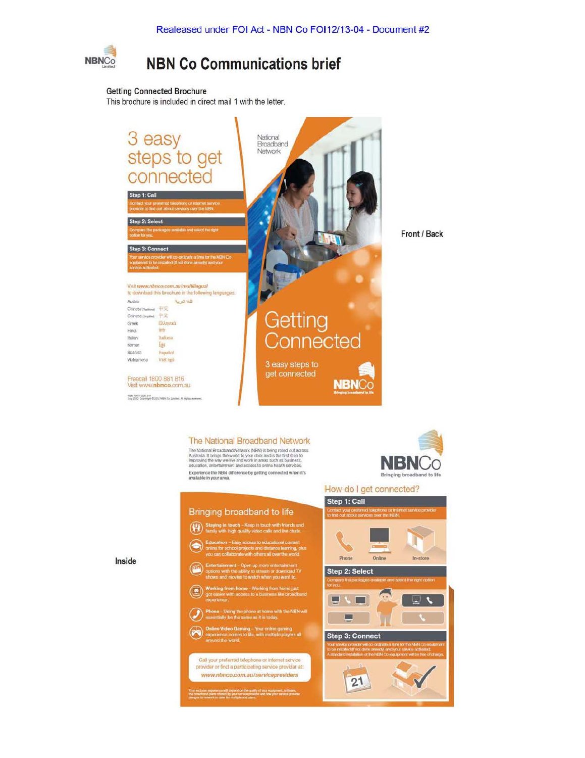

#### **Getting Connected Brochure**

This brochure is included in direct mail 1 with the letter.



The National Broadband Network (NBN) is being rolled out across<br>Australia. It brings the world fo your door and is the first step to<br>Improving the way we live and work in areas such as business,<br>education, entertainment an Experience the NBN difference by getting connected when it's<br>available in your area.

Bringing broadband to life

ming – Your online gaming<br>s to life, with multiple players all

Call your preferred telephone or internet service provider or find a participating service provider at: www.nbnco.com.au/serviceproviders

experience will created on the quality of your equipment, write<br>5 plans officed by your service provider and box your senate p

 $(4)$ 

 $\overline{a}$ 



### Step 3: Connect



Inside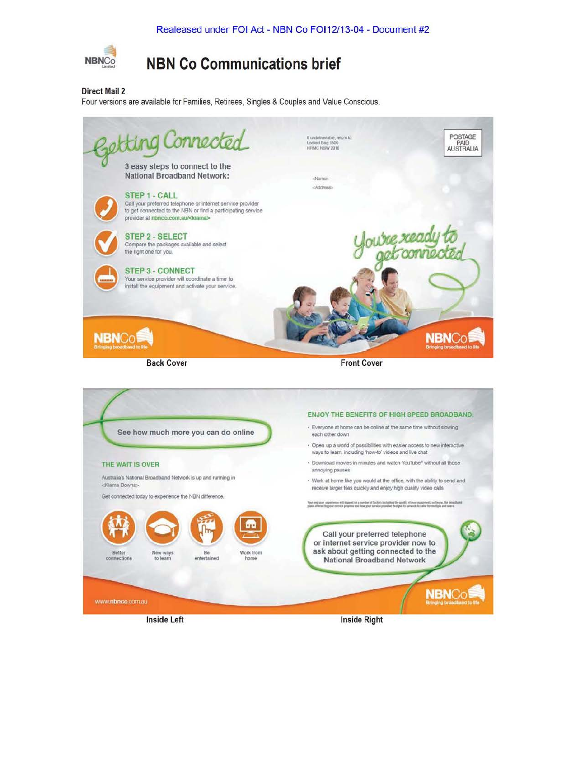

**Direct Mail 2** 

Four versions are available for Families, Retirees, Singles & Couples and Value Conscious.

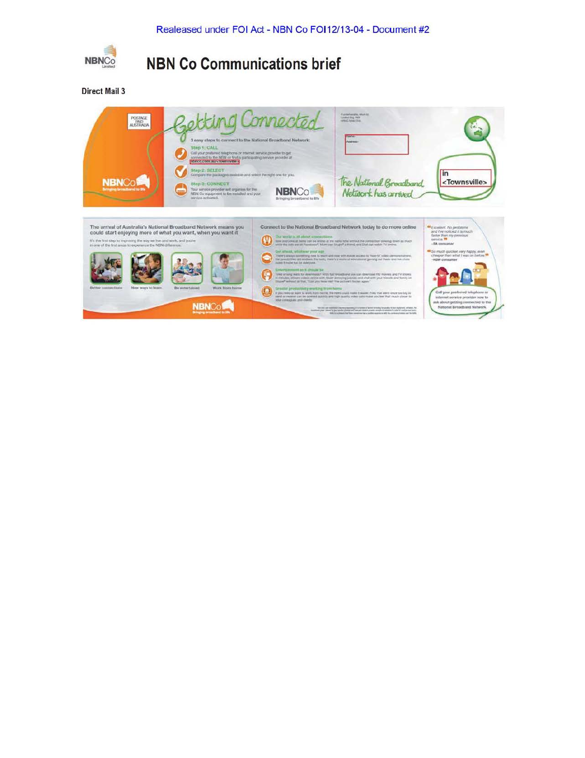

**Direct Mail 3**